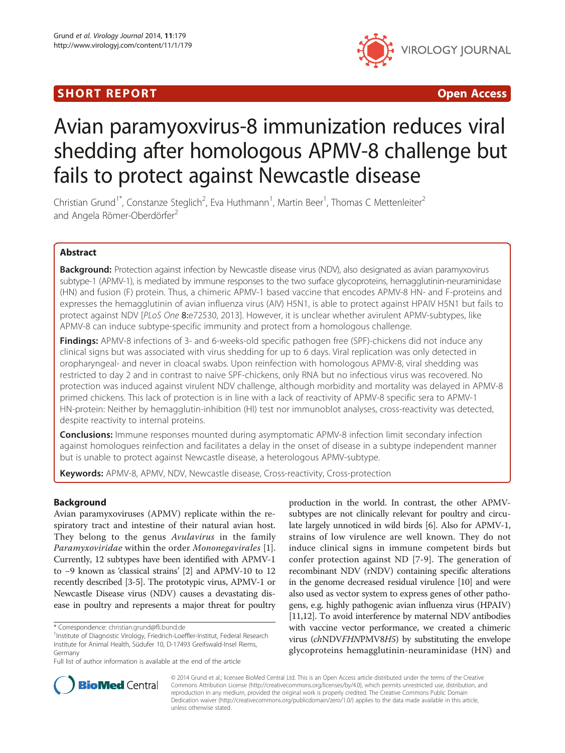## **SHORT REPORT CONSUMING THE SHORT CONSUMING THE SHORT CONSUMING THE SHORT CONSUMING THE SHORT CONSUMING THE SHO**



# Avian paramyoxvirus-8 immunization reduces viral shedding after homologous APMV-8 challenge but fails to protect against Newcastle disease

Christian Grund<sup>1\*</sup>, Constanze Steglich<sup>2</sup>, Eva Huthmann<sup>1</sup>, Martin Beer<sup>1</sup>, Thomas C Mettenleiter<sup>2</sup> and Angela Römer-Oberdörfer<sup>2</sup>

## Abstract

Background: Protection against infection by Newcastle disease virus (NDV), also designated as avian paramyxovirus subtype-1 (APMV-1), is mediated by immune responses to the two surface glycoproteins, hemagglutinin-neuraminidase (HN) and fusion (F) protein. Thus, a chimeric APMV-1 based vaccine that encodes APMV-8 HN- and F-proteins and expresses the hemagglutinin of avian influenza virus (AIV) H5N1, is able to protect against HPAIV H5N1 but fails to protect against NDV [PLoS One 8:e72530, 2013]. However, it is unclear whether avirulent APMV-subtypes, like APMV-8 can induce subtype-specific immunity and protect from a homologous challenge.

Findings: APMV-8 infections of 3- and 6-weeks-old specific pathogen free (SPF)-chickens did not induce any clinical signs but was associated with virus shedding for up to 6 days. Viral replication was only detected in oropharyngeal- and never in cloacal swabs. Upon reinfection with homologous APMV-8, viral shedding was restricted to day 2 and in contrast to naive SPF-chickens, only RNA but no infectious virus was recovered. No protection was induced against virulent NDV challenge, although morbidity and mortality was delayed in APMV-8 primed chickens. This lack of protection is in line with a lack of reactivity of APMV-8 specific sera to APMV-1 HN-protein: Neither by hemagglutin-inhibition (HI) test nor immunoblot analyses, cross-reactivity was detected, despite reactivity to internal proteins.

**Conclusions:** Immune responses mounted during asymptomatic APMV-8 infection limit secondary infection against homologues reinfection and facilitates a delay in the onset of disease in a subtype independent manner but is unable to protect against Newcastle disease, a heterologous APMV-subtype.

Keywords: APMV-8, APMV, NDV, Newcastle disease, Cross-reactivity, Cross-protection

## Background

Avian paramyxoviruses (APMV) replicate within the respiratory tract and intestine of their natural avian host. They belong to the genus *Avulavirus* in the family Paramyxoviridae within the order Mononegavirales [[1](#page-4-0)]. Currently, 12 subtypes have been identified with APMV-1 to −9 known as 'classical strains' [[2](#page-4-0)] and APMV-10 to 12 recently described [[3-5\]](#page-4-0). The prototypic virus, APMV-1 or Newcastle Disease virus (NDV) causes a devastating disease in poultry and represents a major threat for poultry

production in the world. In contrast, the other APMVsubtypes are not clinically relevant for poultry and circulate largely unnoticed in wild birds [[6](#page-4-0)]. Also for APMV-1, strains of low virulence are well known. They do not induce clinical signs in immune competent birds but confer protection against ND [\[7](#page-4-0)-[9](#page-4-0)]. The generation of recombinant NDV (rNDV) containing specific alterations in the genome decreased residual virulence [[10](#page-4-0)] and were also used as vector system to express genes of other pathogens, e.g. highly pathogenic avian influenza virus (HPAIV) [[11,12\]](#page-4-0). To avoid interference by maternal NDV antibodies with vaccine vector performance, we created a chimeric virus (chNDVFHNPMV8H5) by substituting the envelope glycoproteins hemagglutinin-neuraminidase (HN) and



© 2014 Grund et al.; licensee BioMed Central Ltd. This is an Open Access article distributed under the terms of the Creative Commons Attribution License [\(http://creativecommons.org/licenses/by/4.0\)](http://creativecommons.org/licenses/by/4.0), which permits unrestricted use, distribution, and reproduction in any medium, provided the original work is properly credited. The Creative Commons Public Domain Dedication waiver [\(http://creativecommons.org/publicdomain/zero/1.0/](http://creativecommons.org/publicdomain/zero/1.0/)) applies to the data made available in this article, unless otherwise stated.

<sup>\*</sup> Correspondence: [christian.grund@fli.bund.de](mailto:christian.grund@fli.bund.de) <sup>1</sup>

<sup>&</sup>lt;sup>1</sup>Institute of Diagnostic Virology, Friedrich-Loeffler-Institut, Federal Research Institute for Animal Health, Südufer 10, D-17493 Greifswald-Insel Riems, Germany

Full list of author information is available at the end of the article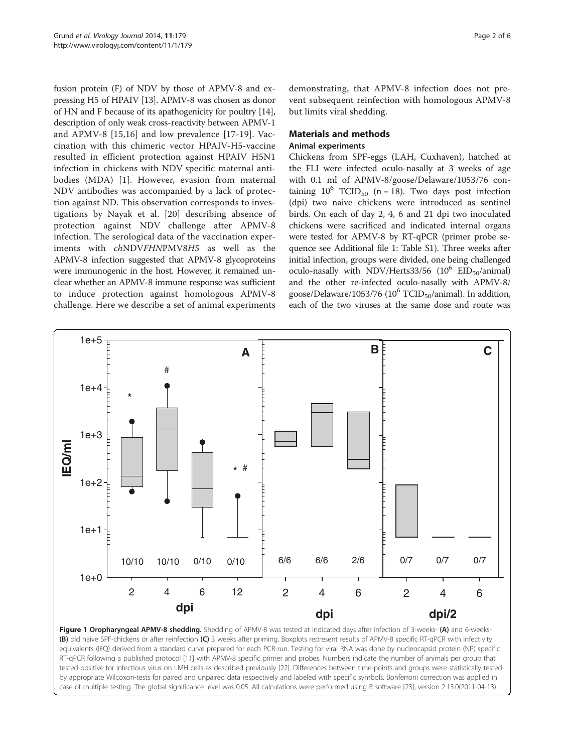<span id="page-1-0"></span>fusion protein (F) of NDV by those of APMV-8 and expressing H5 of HPAIV [\[13\]](#page-4-0). APMV-8 was chosen as donor of HN and F because of its apathogenicity for poultry [[14](#page-4-0)], description of only weak cross-reactivity between APMV-1 and APMV-8 [[15,16](#page-4-0)] and low prevalence [[17-19\]](#page-4-0). Vaccination with this chimeric vector HPAIV-H5-vaccine resulted in efficient protection against HPAIV H5N1 infection in chickens with NDV specific maternal antibodies (MDA) [[1\]](#page-4-0). However, evasion from maternal NDV antibodies was accompanied by a lack of protection against ND. This observation corresponds to investigations by Nayak et al. [[20\]](#page-4-0) describing absence of protection against NDV challenge after APMV-8 infection. The serological data of the vaccination experiments with chNDVFHNPMV8H5 as well as the APMV-8 infection suggested that APMV-8 glycoproteins were immunogenic in the host. However, it remained unclear whether an APMV-8 immune response was sufficient to induce protection against homologous APMV-8 challenge. Here we describe a set of animal experiments

demonstrating, that APMV-8 infection does not prevent subsequent reinfection with homologous APMV-8 but limits viral shedding.

# Materials and methods

## Animal experiments

Chickens from SPF-eggs (LAH, Cuxhaven), hatched at the FLI were infected oculo-nasally at 3 weeks of age with 0.1 ml of APMV-8/goose/Delaware/1053/76 containing  $10^6$  TCID<sub>50</sub> (n = 18). Two days post infection (dpi) two naive chickens were introduced as sentinel birds. On each of day 2, 4, 6 and 21 dpi two inoculated chickens were sacrificed and indicated internal organs were tested for APMV-8 by RT-qPCR (primer probe sequence see Additional file [1:](#page-4-0) Table S1). Three weeks after initial infection, groups were divided, one being challenged oculo-nasally with NDV/Herts33/56  $(10^6$  EID<sub>50</sub>/animal) and the other re-infected oculo-nasally with APMV-8/ goose/Delaware/1053/76 ( $10^6$  TCID<sub>50</sub>/animal). In addition, each of the two viruses at the same dose and route was



Figure 1 Oropharyngeal APMV-8 shedding. Shedding of APMV-8 was tested at indicated days after infection of 3-weeks- (A) and 6-weeks-(B) old naive SPF-chickens or after reinfection (C) 3 weeks after priming. Boxplots represent results of APMV-8 specific RT-qPCR with infectivity equivalents (IEQ) derived from a standard curve prepared for each PCR-run. Testing for viral RNA was done by nucleocapsid protein (NP) specific RT-qPCR following a published protocol [\[11\]](#page-4-0) with APMV-8 specific primer and probes. Numbers indicate the number of animals per group that tested positive for infectious virus on LMH cells as described previously [[22](#page-5-0)]. Differences between time-points and groups were statistically tested by appropriate Wilcoxon-tests for paired and unpaired data respectively and labeled with specific symbols. Bonferroni correction was applied in case of multiple testing. The global significance level was 0.05. All calculations were performed using R software [\[23\]](#page-5-0), version 2.13.0(2011-04-13).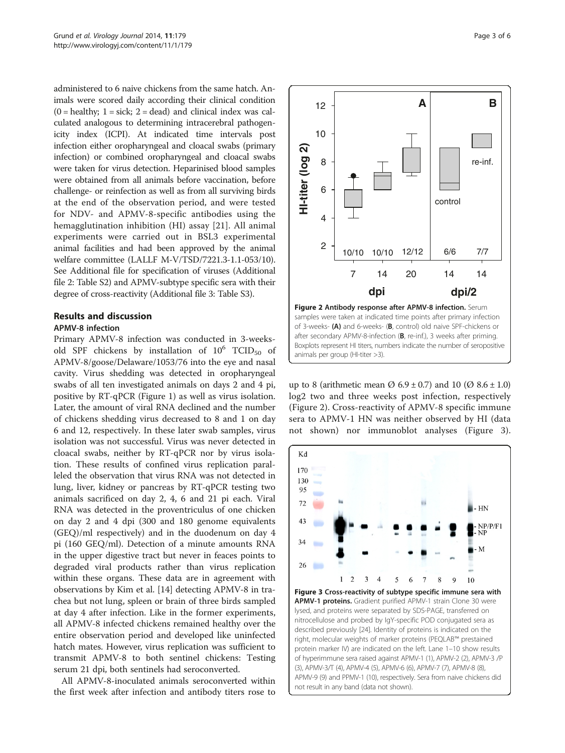<span id="page-2-0"></span>administered to 6 naive chickens from the same hatch. Animals were scored daily according their clinical condition  $(0 = \text{ healthy}; 1 = \text{sick}; 2 = \text{dead})$  and clinical index was calculated analogous to determining intracerebral pathogenicity index (ICPI). At indicated time intervals post infection either oropharyngeal and cloacal swabs (primary infection) or combined oropharyngeal and cloacal swabs were taken for virus detection. Heparinised blood samples were obtained from all animals before vaccination, before challenge- or reinfection as well as from all surviving birds at the end of the observation period, and were tested for NDV- and APMV-8-specific antibodies using the hemagglutination inhibition (HI) assay [\[21](#page-4-0)]. All animal experiments were carried out in BSL3 experimental animal facilities and had been approved by the animal welfare committee (LALLF M-V/TSD/7221.3-1.1-053/10). See Additional file for specification of viruses (Additional file [2](#page-4-0): Table S2) and APMV-subtype specific sera with their degree of cross-reactivity (Additional file [3:](#page-4-0) Table S3).

## Results and discussion

## APMV-8 infection

Primary APMV-8 infection was conducted in 3-weeksold SPF chickens by installation of  $10^6$  TCID<sub>50</sub> of APMV-8/goose/Delaware/1053/76 into the eye and nasal cavity. Virus shedding was detected in oropharyngeal swabs of all ten investigated animals on days 2 and 4 pi, positive by RT-qPCR (Figure [1](#page-1-0)) as well as virus isolation. Later, the amount of viral RNA declined and the number of chickens shedding virus decreased to 8 and 1 on day 6 and 12, respectively. In these later swab samples, virus isolation was not successful. Virus was never detected in cloacal swabs, neither by RT-qPCR nor by virus isolation. These results of confined virus replication paralleled the observation that virus RNA was not detected in lung, liver, kidney or pancreas by RT-qPCR testing two animals sacrificed on day 2, 4, 6 and 21 pi each. Viral RNA was detected in the proventriculus of one chicken on day 2 and 4 dpi (300 and 180 genome equivalents (GEQ)/ml respectively) and in the duodenum on day 4 pi (160 GEQ/ml). Detection of a minute amounts RNA in the upper digestive tract but never in feaces points to degraded viral products rather than virus replication within these organs. These data are in agreement with observations by Kim et al. [\[14](#page-4-0)] detecting APMV-8 in trachea but not lung, spleen or brain of three birds sampled at day 4 after infection. Like in the former experiments, all APMV-8 infected chickens remained healthy over the entire observation period and developed like uninfected hatch mates. However, virus replication was sufficient to transmit APMV-8 to both sentinel chickens: Testing serum 21 dpi, both sentinels had seroconverted.

All APMV-8-inoculated animals seroconverted within the first week after infection and antibody titers rose to



samples were taken at indicated time points after primary infection of 3-weeks- (A) and 6-weeks- (B, control) old naive SPF-chickens or after secondary APMV-8-infection (B, re-inf.), 3 weeks after priming. Boxplots represent HI titers, numbers indicate the number of seropositive animals per group (HI-titer >3).

up to 8 (arithmetic mean  $\varnothing$  6.9 ± 0.7) and 10 ( $\varnothing$  8.6 ± 1.0) log2 two and three weeks post infection, respectively (Figure 2). Cross-reactivity of APMV-8 specific immune sera to APMV-1 HN was neither observed by HI (data not shown) nor immunoblot analyses (Figure 3).



APMV-1 proteins. Gradient purified APMV-1 strain Clone 30 were lysed, and proteins were separated by SDS-PAGE, transferred on nitrocellulose and probed by IgY-specific POD conjugated sera as described previously [[24](#page-5-0)]. Identity of proteins is indicated on the right, molecular weights of marker proteins (PEQLAB™ prestained protein marker IV) are indicated on the left. Lane 1–10 show results of hyperimmune sera raised against APMV-1 (1), APMV-2 (2), APMV-3 /P (3), APMV-3/T (4), APMV-4 (5), APMV-6 (6), APMV-7 (7), APMV-8 (8), APMV-9 (9) and PPMV-1 (10), respectively. Sera from naive chickens did not result in any band (data not shown).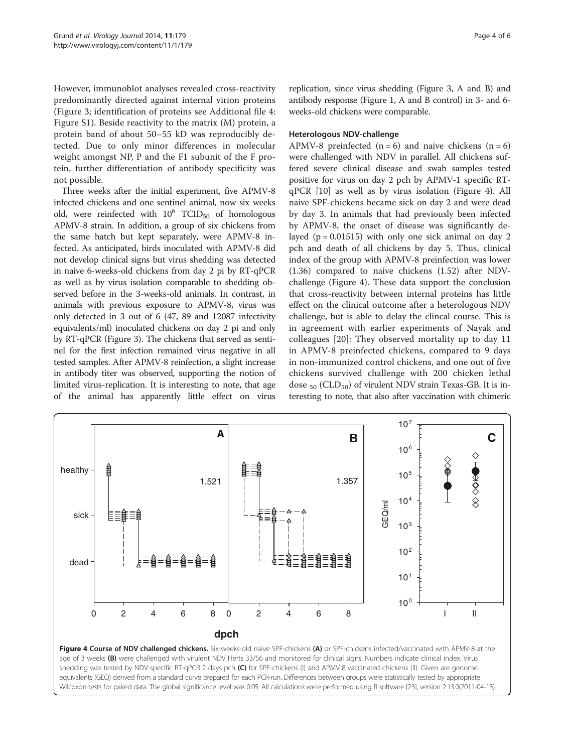However, immunoblot analyses revealed cross-reactivity predominantly directed against internal virion proteins (Figure [3](#page-2-0); identification of proteins see Additional file [4](#page-4-0): Figure S1). Beside reactivity to the matrix (M) protein, a protein band of about 50–55 kD was reproducibly detected. Due to only minor differences in molecular weight amongst NP, P and the F1 subunit of the F protein, further differentiation of antibody specificity was not possible.

Three weeks after the initial experiment, five APMV-8 infected chickens and one sentinel animal, now six weeks old, were reinfected with  $10^6$  TCID<sub>50</sub> of homologous APMV-8 strain. In addition, a group of six chickens from the same hatch but kept separately, were APMV-8 infected. As anticipated, birds inoculated with APMV-8 did not develop clinical signs but virus shedding was detected in naive 6-weeks-old chickens from day 2 pi by RT-qPCR as well as by virus isolation comparable to shedding observed before in the 3-weeks-old animals. In contrast, in animals with previous exposure to APMV-8, virus was only detected in 3 out of 6 (47, 89 and 12087 infectivity equivalents/ml) inoculated chickens on day 2 pi and only by RT-qPCR (Figure [3\)](#page-2-0). The chickens that served as sentinel for the first infection remained virus negative in all tested samples. After APMV-8 reinfection, a slight increase in antibody titer was observed, supporting the notion of limited virus-replication. It is interesting to note, that age of the animal has apparently little effect on virus replication, since virus shedding (Figure [3](#page-2-0), A and B) and antibody response (Figure [1](#page-1-0), A and B control) in 3- and 6 weeks-old chickens were comparable.

## Heterologous NDV-challenge

APMV-8 preinfected  $(n = 6)$  and naive chickens  $(n = 6)$ were challenged with NDV in parallel. All chickens suffered severe clinical disease and swab samples tested positive for virus on day 2 pch by APMV-1 specific RTqPCR [[10\]](#page-4-0) as well as by virus isolation (Figure 4). All naive SPF-chickens became sick on day 2 and were dead by day 3. In animals that had previously been infected by APMV-8, the onset of disease was significantly delayed ( $p = 0.01515$ ) with only one sick animal on day 2 pch and death of all chickens by day 5. Thus, clinical index of the group with APMV-8 preinfection was lower (1.36) compared to naive chickens (1.52) after NDVchallenge (Figure 4). These data support the conclusion that cross-reactivity between internal proteins has little effect on the clinical outcome after a heterologous NDV challenge, but is able to delay the clincal course. This is in agreement with earlier experiments of Nayak and colleagues [[20\]](#page-4-0): They observed mortality up to day 11 in APMV-8 preinfected chickens, compared to 9 days in non-immunized control chickens, and one out of five chickens survived challenge with 200 chicken lethal dose  $_{50}$  (CLD<sub>50</sub>) of virulent NDV strain Texas-GB. It is interesting to note, that also after vaccination with chimeric



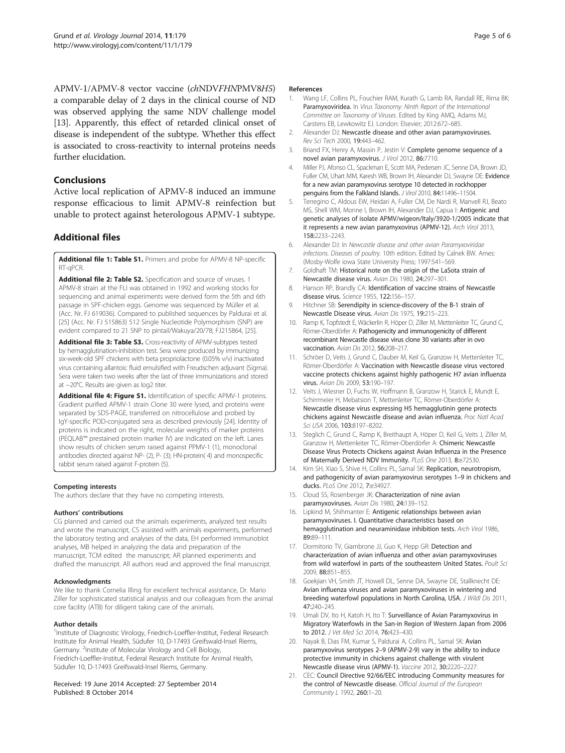<span id="page-4-0"></span>APMV-1/APMV-8 vector vaccine (chNDVFHNPMV8H5) a comparable delay of 2 days in the clinical course of ND was observed applying the same NDV challenge model [13]. Apparently, this effect of retarded clinical onset of disease is independent of the subtype. Whether this effect is associated to cross-reactivity to internal proteins needs further elucidation.

## **Conclusions**

Active local replication of APMV-8 induced an immune response efficacious to limit APMV-8 reinfection but unable to protect against heterologous APMV-1 subtype.

## Additional files

[Additional file 1: Table S1.](http://www.biomedcentral.com/content/supplementary/1743-422X-11-179-S1.doc) Primers and probe for APMV-8 NP-specific RT-qPCR.

[Additional file 2: Table S2.](http://www.biomedcentral.com/content/supplementary/1743-422X-11-179-S2.doc) Specification and source of viruses. 1 APMV-8 strain at the FLI was obtained in 1992 and working stocks for sequencing and animal experiments were derived form the 5th and 6th passage in SPF-chicken eggs. Genome was sequenced by Müller et al. (Acc. Nr. FJ 619036). Compared to published sequences by Paldurai et al. [[25](#page-5-0)] (Acc. Nr. FJ 515863) 512 Single Nucleotide Polymorphism (SNP) are evident compared to 21 SNP to pintail/Wakuya/20/78; FJ215864, [\[25\]](#page-5-0).

[Additional file 3: Table S3.](http://www.biomedcentral.com/content/supplementary/1743-422X-11-179-S3.doc) Cross-reactivity of APMV-subtypes tested by hemagglutination-inhibition test. Sera were produced by immunizing six-week-old SPF chickens with beta propriolactone (0.05% v/v) inactivated virus containing allantoic fluid emulsified with Freudschen adjuvant (Sigma). Sera were taken two weeks after the last of three immunizations and stored at −20°C. Results are given as log2 titer.

[Additional file 4: Figure S1.](http://www.biomedcentral.com/content/supplementary/1743-422X-11-179-S4.ppt) Identification of specific APMV-1 proteins. Gradient purified APMV-1 strain Clone 30 were lysed, and proteins were separated by SDS-PAGE, transferred on nitrocellulose and probed by IgY-specific POD-conjugated sera as described previously [\[24\]](#page-5-0). Identity of proteins is indicated on the right, molecular weights of marker proteins (PEQLAB™ prestained protein marker IV) are indicated on the left. Lanes show results of chicken serum raised against PPMV-1 (1), monoclonal antibodies directed against NP- (2), P- (3); HN-protein( 4) and monospecific rabbit serum raised against F-protein (5).

## Competing interests

The authors declare that they have no competing interests.

### Authors' contributions

CG planned and carried out the animals experiments, analyzed test results and wrote the manuscript, CS assisted with animals experiments, performed the laboratory testing and analyses of the data, EH performed immunoblot analyses, MB helped in analyzing the data and preparation of the manuscript, TCM edited the manuscript; AR planned experiments and drafted the manuscript. All authors read and approved the final manuscript.

### Acknowledgments

We like to thank Cornelia Illing for excellent technical assistance, Dr. Mario Ziller for sophisticated statistical analysis and our colleagues from the animal core facility (ATB) for diligent taking care of the animals.

### Author details

<sup>1</sup>Institute of Diagnostic Virology, Friedrich-Loeffler-Institut, Federal Research Institute for Animal Health, Südufer 10, D-17493 Greifswald-Insel Riems, Germany. <sup>2</sup>Institute of Molecular Virology and Cell Biology, Friedrich-Loeffler-Institut, Federal Research Institute for Animal Health, Südufer 10, D-17493 Greifswald-Insel Riems, Germany.

### Received: 19 June 2014 Accepted: 27 September 2014 Published: 8 October 2014

## References

- 1. Wang LF, Collins PL, Fouchier RAM, Kurath G, Lamb RA, Randall RE, Rima BK: Paramyxoviridea. In Virus Taxonomy: Ninth Report of the International Committee on Taxonomy of Viruses. Edited by King AMQ, Adams MJ, Carstens EB, Lewkowitz EJ. London: Elsevier; 2012:672–685.
- 2. Alexander DJ: Newcastle disease and other avian paramyxoviruses. Rev Sci Tech 2000, 19:443–462.
- 3. Briand FX, Henry A, Massin P, Jestin V: Complete genome sequence of a novel avian paramyxovirus. J Virol 2012, 86:7710.
- 4. Miller PJ, Afonso CL, Spackman E, Scott MA, Pedersen JC, Senne DA, Brown JD, Fuller CM, Uhart MM, Karesh WB, Brown IH, Alexander DJ, Swayne DE: Evidence for a new avian paramyxovirus serotype 10 detected in rockhopper penguins from the Falkland Islands. J Virol 2010, 84:11496-11504.
- 5. Terregino C, Aldous EW, Heidari A, Fuller CM, De Nardi R, Manvell RJ, Beato MS, Shell WM, Monne I, Brown IH, Alexander DJ, Capua I: Antigenic and genetic analyses of isolate APMV/wigeon/Italy/3920-1/2005 indicate that it represents a new avian paramyxovirus (APMV-12). Arch Virol 2013, 158:2233–2243.
- 6. Alexander DJ: In Newcastle disease and other avian Paramyxoviridae infections. Diseases of poultry. 10th edition. Edited by Calnek BW. Ames: (Mosby-Wolfe iowa State University Press; 1997:541–569.
- 7. Goldhaft TM: Historical note on the origin of the LaSota strain of Newcastle disease virus. Avian Dis 1980, 24:297–301.
- 8. Hanson RP, Brandly CA: Identification of vaccine strains of Newcastle disease virus. Science 1955, 122:156–157.
- 9. Hitchner SB: Serendipity in science-discovery of the B-1 strain of Newcastle Disease virus. Avian Dis 1975, 19:215–223.
- 10. Ramp K, Topfstedt E, Wäckerlin R, Höper D, Ziller M, Mettenleiter TC, Grund C, Römer-Oberdörfer A: Pathogenicity and immunogenicity of different recombinant Newcastle disease virus clone 30 variants after in ovo vaccination. Avian Dis 2012, 56:208–217.
- 11. Schröer D, Veits J, Grund C, Dauber M, Keil G, Granzow H, Mettenleiter TC, Römer-Oberdörfer A: Vaccination with Newcastle disease virus vectored vaccine protects chickens against highly pathogenic H7 avian influenza virus. Avian Dis 2009, 53:190–197.
- 12. Veits J, Wiesner D, Fuchs W, Hoffmann B, Granzow H, Starick E, Mundt E, Schirrmeier H, Mebatsion T, Mettenleiter TC, Römer-Oberdörfer A: Newcastle disease virus expressing H5 hemagglutinin gene protects chickens against Newcastle disease and avian influenza. Proc Natl Acad Sci USA 2006, 103:8197–8202.
- 13. Steglich C, Grund C, Ramp K, Breithaupt A, Höper D, Keil G, Veits J, Ziller M, Granzow H, Mettenleiter TC, Römer-Oberdörfer A: Chimeric Newcastle Disease Virus Protects Chickens against Avian Influenza in the Presence of Maternally Derived NDV Immunity. PLoS One 2013, 8:e72530.
- 14. Kim SH, Xiao S, Shive H, Collins PL, Samal SK: Replication, neurotropism, and pathogenicity of avian paramyxovirus serotypes 1–9 in chickens and ducks. PLoS One 2012, 7:e34927.
- 15. Cloud SS, Rosenberger JK: Characterization of nine avian paramyxoviruses. Avian Dis 1980, 24:139–152.
- 16. Lipkind M, Shihmanter E: Antigenic relationships between avian paramyxoviruses. I. Quantitative characteristics based on hemagglutination and neuraminidase inhibition tests. Arch Virol 1986, 89:89–111.
- 17. Dormitorio TV, Giambrone JJ, Guo K, Hepp GR: Detection and characterization of avian influenza and other avian paramyxoviruses from wild waterfowl in parts of the southeastern United States. Poult Sci 2009, 88:851–855.
- 18. Goekjian VH, Smith JT, Howell DL, Senne DA, Swayne DE, Stallknecht DE: Avian influenza viruses and avian paramyxoviruses in wintering and breeding waterfowl populations in North Carolina, USA. J Wildl Dis 2011, 47:240–245.
- 19. Umali DV, Ito H, Katoh H, Ito T: Surveillance of Avian Paramyxovirus in Migratory Waterfowls in the San-in Region of Western Japan from 2006 to 2012. J Vet Med Sci 2014, 76:423–430.
- 20. Nayak B, Dias FM, Kumar S, Paldurai A, Collins PL, Samal SK: Avian paramyxovirus serotypes 2–9 (APMV-2-9) vary in the ability to induce protective immunity in chickens against challenge with virulent Newcastle disease virus (APMV-1). Vaccine 2012, 30:2220–2227.
- 21. CEC: Council Directive 92/66/EEC introducing Community measures for the control of Newcastle disease. Official Journal of the European Community L 1992, 260:1–20.